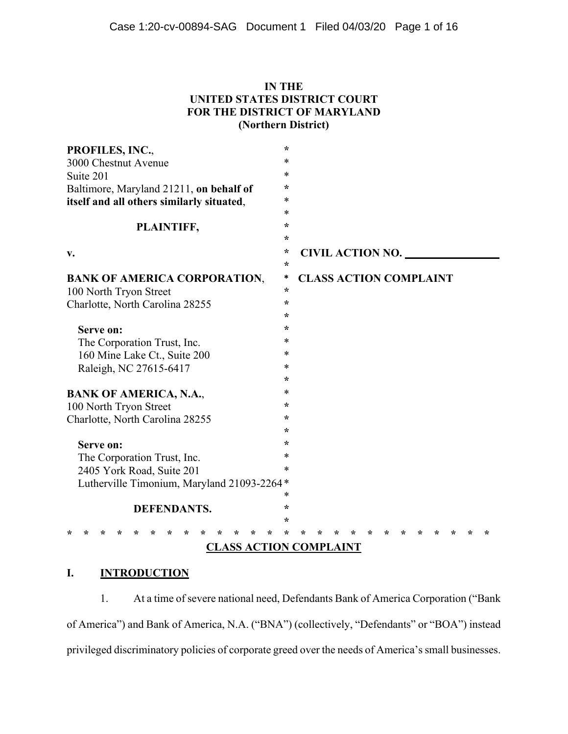## **IN THE UNITED STATES DISTRICT COURT FOR THE DISTRICT OF MARYLAND (Northern District)**

| PROFILES, INC.,                            | $\star$ |                         |  |  |  |  |  |  |  |  |                               |  |     |
|--------------------------------------------|---------|-------------------------|--|--|--|--|--|--|--|--|-------------------------------|--|-----|
| 3000 Chestnut Avenue                       | *       |                         |  |  |  |  |  |  |  |  |                               |  |     |
| Suite 201                                  | $\ast$  |                         |  |  |  |  |  |  |  |  |                               |  |     |
| Baltimore, Maryland 21211, on behalf of    | $\star$ |                         |  |  |  |  |  |  |  |  |                               |  |     |
| itself and all others similarly situated,  | *       |                         |  |  |  |  |  |  |  |  |                               |  |     |
|                                            | $\ast$  |                         |  |  |  |  |  |  |  |  |                               |  |     |
| PLAINTIFF,                                 |         |                         |  |  |  |  |  |  |  |  |                               |  |     |
|                                            | $\star$ |                         |  |  |  |  |  |  |  |  |                               |  |     |
| v.                                         | $\star$ | <b>CIVIL ACTION NO.</b> |  |  |  |  |  |  |  |  |                               |  |     |
|                                            | $\star$ |                         |  |  |  |  |  |  |  |  |                               |  |     |
| <b>BANK OF AMERICA CORPORATION,</b>        | *       |                         |  |  |  |  |  |  |  |  | <b>CLASS ACTION COMPLAINT</b> |  |     |
| 100 North Tryon Street                     | $\star$ |                         |  |  |  |  |  |  |  |  |                               |  |     |
| Charlotte, North Carolina 28255            | $\star$ |                         |  |  |  |  |  |  |  |  |                               |  |     |
|                                            | $\star$ |                         |  |  |  |  |  |  |  |  |                               |  |     |
| Serve on:                                  | $\star$ |                         |  |  |  |  |  |  |  |  |                               |  |     |
| The Corporation Trust, Inc.                | $\ast$  |                         |  |  |  |  |  |  |  |  |                               |  |     |
| 160 Mine Lake Ct., Suite 200               | *       |                         |  |  |  |  |  |  |  |  |                               |  |     |
| Raleigh, NC 27615-6417                     | $\ast$  |                         |  |  |  |  |  |  |  |  |                               |  |     |
|                                            | $\star$ |                         |  |  |  |  |  |  |  |  |                               |  |     |
| <b>BANK OF AMERICA, N.A.,</b>              | *       |                         |  |  |  |  |  |  |  |  |                               |  |     |
| 100 North Tryon Street                     | $\star$ |                         |  |  |  |  |  |  |  |  |                               |  |     |
| Charlotte, North Carolina 28255            | ÷       |                         |  |  |  |  |  |  |  |  |                               |  |     |
|                                            | $\star$ |                         |  |  |  |  |  |  |  |  |                               |  |     |
| Serve on:                                  | ÷       |                         |  |  |  |  |  |  |  |  |                               |  |     |
| The Corporation Trust, Inc.                | *       |                         |  |  |  |  |  |  |  |  |                               |  |     |
| 2405 York Road, Suite 201                  | $\ast$  |                         |  |  |  |  |  |  |  |  |                               |  |     |
| Lutherville Timonium, Maryland 21093-2264* |         |                         |  |  |  |  |  |  |  |  |                               |  |     |
|                                            | $\ast$  |                         |  |  |  |  |  |  |  |  |                               |  |     |
| <b>DEFENDANTS.</b>                         |         |                         |  |  |  |  |  |  |  |  |                               |  |     |
|                                            | $\star$ |                         |  |  |  |  |  |  |  |  |                               |  |     |
| ÷                                          | ÷       |                         |  |  |  |  |  |  |  |  |                               |  | میہ |
| <b>CLASS ACTION COMPLAINT</b>              |         |                         |  |  |  |  |  |  |  |  |                               |  |     |

# **I. INTRODUCTION**

1. At a time of severe national need, Defendants Bank of America Corporation ("Bank of America") and Bank of America, N.A. ("BNA") (collectively, "Defendants" or "BOA") instead privileged discriminatory policies of corporate greed over the needs of America's small businesses.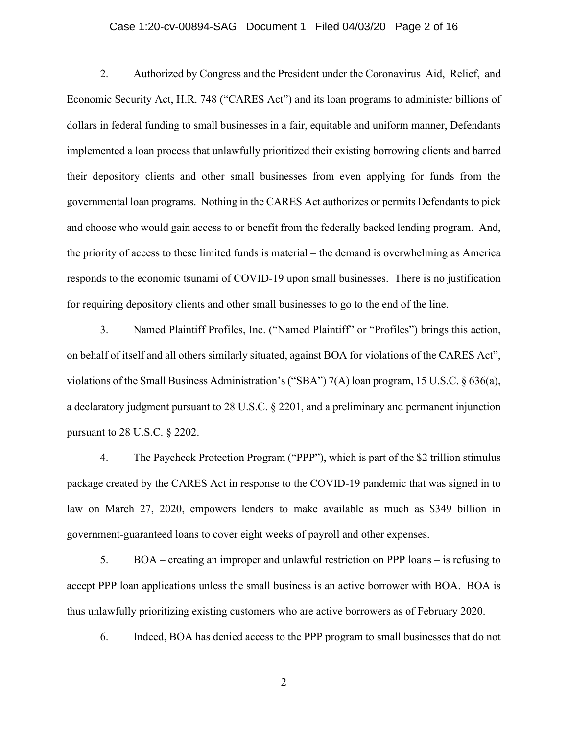## Case 1:20-cv-00894-SAG Document 1 Filed 04/03/20 Page 2 of 16

2. Authorized by Congress and the President under the Coronavirus Aid, Relief, and Economic Security Act, H.R. 748 ("CARES Act") and its loan programs to administer billions of dollars in federal funding to small businesses in a fair, equitable and uniform manner, Defendants implemented a loan process that unlawfully prioritized their existing borrowing clients and barred their depository clients and other small businesses from even applying for funds from the governmental loan programs. Nothing in the CARES Act authorizes or permits Defendants to pick and choose who would gain access to or benefit from the federally backed lending program. And, the priority of access to these limited funds is material – the demand is overwhelming as America responds to the economic tsunami of COVID-19 upon small businesses. There is no justification for requiring depository clients and other small businesses to go to the end of the line.

3. Named Plaintiff Profiles, Inc. ("Named Plaintiff" or "Profiles") brings this action, on behalf of itself and all others similarly situated, against BOA for violations of the CARES Act", violations of the Small Business Administration's ("SBA") 7(A) loan program, 15 U.S.C. § 636(a), a declaratory judgment pursuant to 28 U.S.C. § 2201, and a preliminary and permanent injunction pursuant to 28 U.S.C. § 2202.

4. The Paycheck Protection Program ("PPP"), which is part of the \$2 trillion stimulus package created by the CARES Act in response to the COVID-19 pandemic that was signed in to law on March 27, 2020, empowers lenders to make available as much as \$349 billion in government-guaranteed loans to cover eight weeks of payroll and other expenses.

5. BOA – creating an improper and unlawful restriction on PPP loans – is refusing to accept PPP loan applications unless the small business is an active borrower with BOA. BOA is thus unlawfully prioritizing existing customers who are active borrowers as of February 2020.

6. Indeed, BOA has denied access to the PPP program to small businesses that do not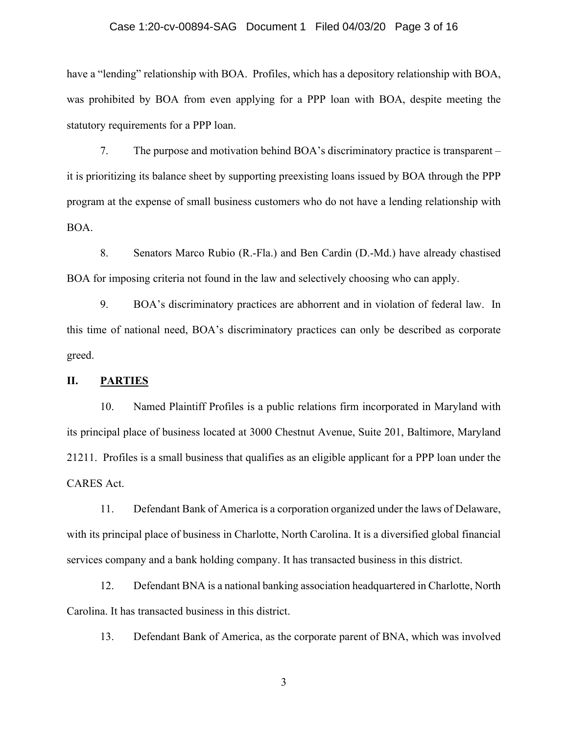#### Case 1:20-cv-00894-SAG Document 1 Filed 04/03/20 Page 3 of 16

have a "lending" relationship with BOA. Profiles, which has a depository relationship with BOA, was prohibited by BOA from even applying for a PPP loan with BOA, despite meeting the statutory requirements for a PPP loan.

7. The purpose and motivation behind BOA's discriminatory practice is transparent – it is prioritizing its balance sheet by supporting preexisting loans issued by BOA through the PPP program at the expense of small business customers who do not have a lending relationship with BOA.

8. Senators Marco Rubio (R.-Fla.) and Ben Cardin (D.-Md.) have already chastised BOA for imposing criteria not found in the law and selectively choosing who can apply.

9. BOA's discriminatory practices are abhorrent and in violation of federal law. In this time of national need, BOA's discriminatory practices can only be described as corporate greed.

### **II. PARTIES**

10. Named Plaintiff Profiles is a public relations firm incorporated in Maryland with its principal place of business located at 3000 Chestnut Avenue, Suite 201, Baltimore, Maryland 21211. Profiles is a small business that qualifies as an eligible applicant for a PPP loan under the CARES Act.

11. Defendant Bank of America is a corporation organized under the laws of Delaware, with its principal place of business in Charlotte, North Carolina. It is a diversified global financial services company and a bank holding company. It has transacted business in this district.

12. Defendant BNA is a national banking association headquartered in Charlotte, North Carolina. It has transacted business in this district.

13. Defendant Bank of America, as the corporate parent of BNA, which was involved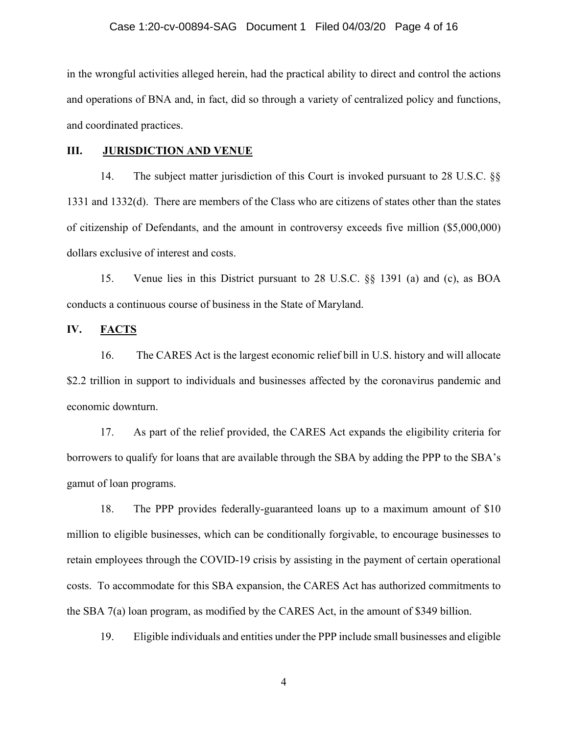in the wrongful activities alleged herein, had the practical ability to direct and control the actions and operations of BNA and, in fact, did so through a variety of centralized policy and functions, and coordinated practices.

#### **III. JURISDICTION AND VENUE**

14. The subject matter jurisdiction of this Court is invoked pursuant to 28 U.S.C. §§ 1331 and 1332(d). There are members of the Class who are citizens of states other than the states of citizenship of Defendants, and the amount in controversy exceeds five million (\$5,000,000) dollars exclusive of interest and costs.

15. Venue lies in this District pursuant to 28 U.S.C. §§ 1391 (a) and (c), as BOA conducts a continuous course of business in the State of Maryland.

### **IV. FACTS**

16. The CARES Act is the largest economic relief bill in U.S. history and will allocate \$2.2 trillion in support to individuals and businesses affected by the coronavirus pandemic and economic downturn.

17. As part of the relief provided, the CARES Act expands the eligibility criteria for borrowers to qualify for loans that are available through the SBA by adding the PPP to the SBA's gamut of loan programs.

18. The PPP provides federally-guaranteed loans up to a maximum amount of \$10 million to eligible businesses, which can be conditionally forgivable, to encourage businesses to retain employees through the COVID-19 crisis by assisting in the payment of certain operational costs. To accommodate for this SBA expansion, the CARES Act has authorized commitments to the SBA 7(a) loan program, as modified by the CARES Act, in the amount of \$349 billion.

19. Eligible individuals and entities under the PPP include small businesses and eligible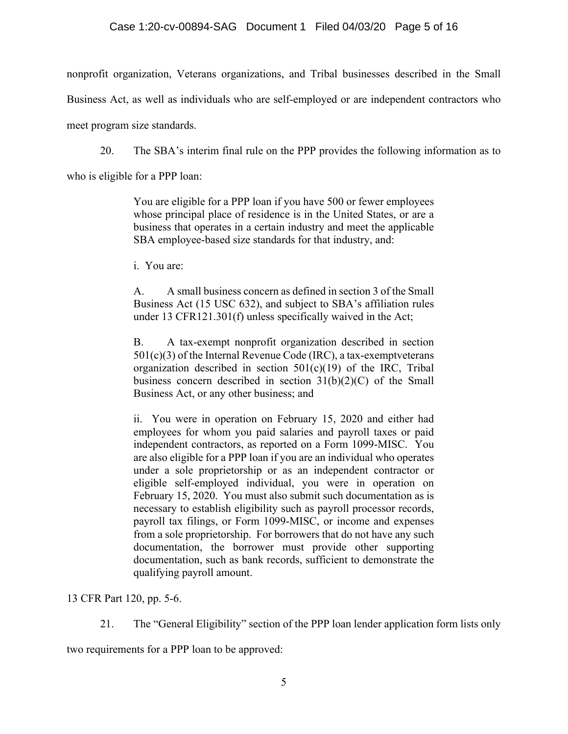## Case 1:20-cv-00894-SAG Document 1 Filed 04/03/20 Page 5 of 16

nonprofit organization, Veterans organizations, and Tribal businesses described in the Small

Business Act, as well as individuals who are self-employed or are independent contractors who

meet program size standards.

20. The SBA's interim final rule on the PPP provides the following information as to

who is eligible for a PPP loan:

You are eligible for a PPP loan if you have 500 or fewer employees whose principal place of residence is in the United States, or are a business that operates in a certain industry and meet the applicable SBA employee-based size standards for that industry, and:

i. You are:

A. A small business concern as defined in section 3 of the Small Business Act (15 USC 632), and subject to SBA's affiliation rules under 13 CFR121.301(f) unless specifically waived in the Act;

B. A tax-exempt nonprofit organization described in section  $501(c)(3)$  of the Internal Revenue Code (IRC), a tax-exempt veterans organization described in section 501(c)(19) of the IRC, Tribal business concern described in section 31(b)(2)(C) of the Small Business Act, or any other business; and

ii. You were in operation on February 15, 2020 and either had employees for whom you paid salaries and payroll taxes or paid independent contractors, as reported on a Form 1099-MISC. You are also eligible for a PPP loan if you are an individual who operates under a sole proprietorship or as an independent contractor or eligible self-employed individual, you were in operation on February 15, 2020. You must also submit such documentation as is necessary to establish eligibility such as payroll processor records, payroll tax filings, or Form 1099-MISC, or income and expenses from a sole proprietorship. For borrowers that do not have any such documentation, the borrower must provide other supporting documentation, such as bank records, sufficient to demonstrate the qualifying payroll amount.

13 CFR Part 120, pp. 5-6.

21. The "General Eligibility" section of the PPP loan lender application form lists only

two requirements for a PPP loan to be approved: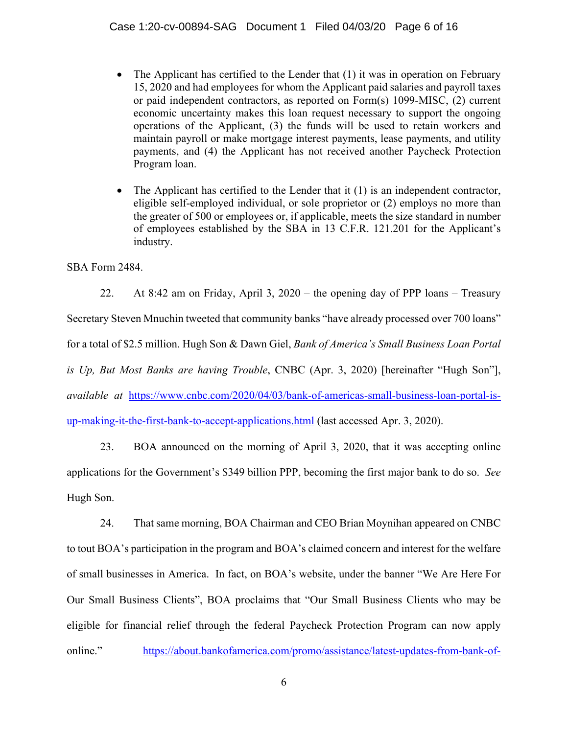- The Applicant has certified to the Lender that (1) it was in operation on February 15, 2020 and had employees for whom the Applicant paid salaries and payroll taxes or paid independent contractors, as reported on Form(s) 1099-MISC, (2) current economic uncertainty makes this loan request necessary to support the ongoing operations of the Applicant, (3) the funds will be used to retain workers and maintain payroll or make mortgage interest payments, lease payments, and utility payments, and (4) the Applicant has not received another Paycheck Protection Program loan.
- The Applicant has certified to the Lender that it (1) is an independent contractor, eligible self-employed individual, or sole proprietor or (2) employs no more than the greater of 500 or employees or, if applicable, meets the size standard in number of employees established by the SBA in 13 C.F.R. 121.201 for the Applicant's industry.

SBA Form 2484.

22. At 8:42 am on Friday, April 3, 2020 – the opening day of PPP loans – Treasury Secretary Steven Mnuchin tweeted that community banks "have already processed over 700 loans" for a total of \$2.5 million. Hugh Son & Dawn Giel, *Bank of America's Small Business Loan Portal is Up, But Most Banks are having Trouble*, CNBC (Apr. 3, 2020) [hereinafter "Hugh Son"], *available at* https://www.cnbc.com/2020/04/03/bank-of-americas-small-business-loan-portal-isup-making-it-the-first-bank-to-accept-applications.html (last accessed Apr. 3, 2020).

23. BOA announced on the morning of April 3, 2020, that it was accepting online applications for the Government's \$349 billion PPP, becoming the first major bank to do so. *See*  Hugh Son.

24. That same morning, BOA Chairman and CEO Brian Moynihan appeared on CNBC to tout BOA's participation in the program and BOA's claimed concern and interest for the welfare of small businesses in America. In fact, on BOA's website, under the banner "We Are Here For Our Small Business Clients", BOA proclaims that "Our Small Business Clients who may be eligible for financial relief through the federal Paycheck Protection Program can now apply online." https://about.bankofamerica.com/promo/assistance/latest-updates-from-bank-of-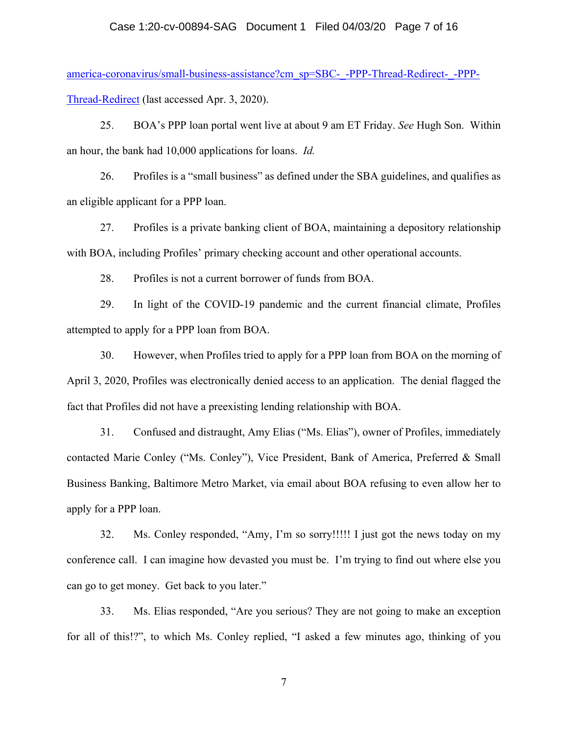#### Case 1:20-cv-00894-SAG Document 1 Filed 04/03/20 Page 7 of 16

america-coronavirus/small-business-assistance?cm\_sp=SBC-\_-PPP-Thread-Redirect-\_-PPP-Thread-Redirect (last accessed Apr. 3, 2020).

25. BOA's PPP loan portal went live at about 9 am ET Friday. *See* Hugh Son. Within an hour, the bank had 10,000 applications for loans. *Id.*

26. Profiles is a "small business" as defined under the SBA guidelines, and qualifies as an eligible applicant for a PPP loan.

27. Profiles is a private banking client of BOA, maintaining a depository relationship with BOA, including Profiles' primary checking account and other operational accounts.

28. Profiles is not a current borrower of funds from BOA.

29. In light of the COVID-19 pandemic and the current financial climate, Profiles attempted to apply for a PPP loan from BOA.

30. However, when Profiles tried to apply for a PPP loan from BOA on the morning of April 3, 2020, Profiles was electronically denied access to an application. The denial flagged the fact that Profiles did not have a preexisting lending relationship with BOA.

31. Confused and distraught, Amy Elias ("Ms. Elias"), owner of Profiles, immediately contacted Marie Conley ("Ms. Conley"), Vice President, Bank of America, Preferred & Small Business Banking, Baltimore Metro Market, via email about BOA refusing to even allow her to apply for a PPP loan.

32. Ms. Conley responded, "Amy, I'm so sorry!!!!! I just got the news today on my conference call. I can imagine how devasted you must be. I'm trying to find out where else you can go to get money. Get back to you later."

33. Ms. Elias responded, "Are you serious? They are not going to make an exception for all of this!?", to which Ms. Conley replied, "I asked a few minutes ago, thinking of you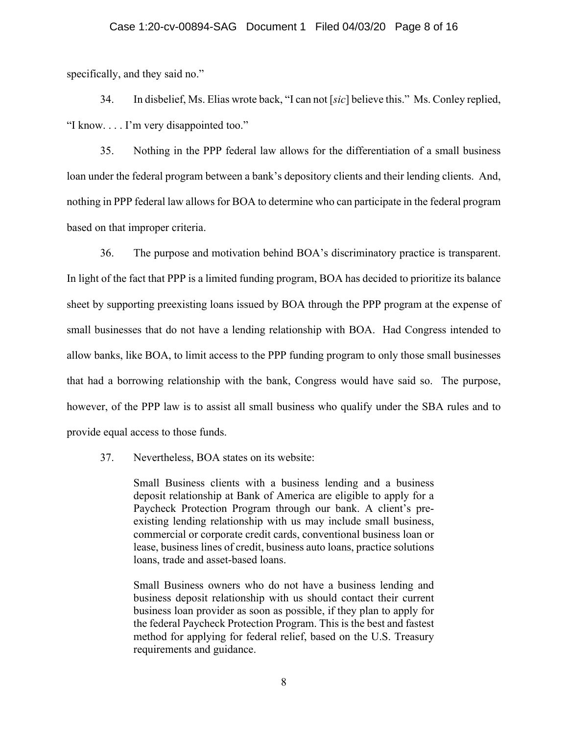#### Case 1:20-cv-00894-SAG Document 1 Filed 04/03/20 Page 8 of 16

specifically, and they said no."

34. In disbelief, Ms. Elias wrote back, "I can not [*sic*] believe this." Ms. Conley replied, "I know. . . . I'm very disappointed too."

35. Nothing in the PPP federal law allows for the differentiation of a small business loan under the federal program between a bank's depository clients and their lending clients. And, nothing in PPP federal law allows for BOA to determine who can participate in the federal program based on that improper criteria.

36. The purpose and motivation behind BOA's discriminatory practice is transparent. In light of the fact that PPP is a limited funding program, BOA has decided to prioritize its balance sheet by supporting preexisting loans issued by BOA through the PPP program at the expense of small businesses that do not have a lending relationship with BOA. Had Congress intended to allow banks, like BOA, to limit access to the PPP funding program to only those small businesses that had a borrowing relationship with the bank, Congress would have said so. The purpose, however, of the PPP law is to assist all small business who qualify under the SBA rules and to provide equal access to those funds.

37. Nevertheless, BOA states on its website:

Small Business clients with a business lending and a business deposit relationship at Bank of America are eligible to apply for a Paycheck Protection Program through our bank. A client's preexisting lending relationship with us may include small business, commercial or corporate credit cards, conventional business loan or lease, business lines of credit, business auto loans, practice solutions loans, trade and asset-based loans.

Small Business owners who do not have a business lending and business deposit relationship with us should contact their current business loan provider as soon as possible, if they plan to apply for the federal Paycheck Protection Program. This is the best and fastest method for applying for federal relief, based on the U.S. Treasury requirements and guidance.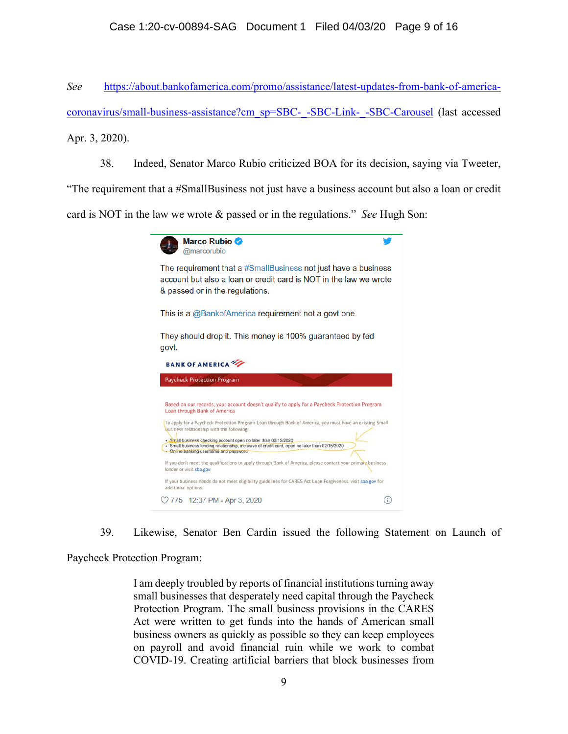*See* https://about.bankofamerica.com/promo/assistance/latest-updates-from-bank-of-americacoronavirus/small-business-assistance?cm\_sp=SBC-\_-SBC-Link-\_-SBC-Carousel (last accessed Apr. 3, 2020).

38. Indeed, Senator Marco Rubio criticized BOA for its decision, saying via Tweeter,

"The requirement that a #SmallBusiness not just have a business account but also a loan or credit card is NOT in the law we wrote & passed or in the regulations." *See* Hugh Son:



39. Likewise, Senator Ben Cardin issued the following Statement on Launch of

Paycheck Protection Program:

I am deeply troubled by reports of financial institutions turning away small businesses that desperately need capital through the Paycheck Protection Program. The small business provisions in the CARES Act were written to get funds into the hands of American small business owners as quickly as possible so they can keep employees on payroll and avoid financial ruin while we work to combat COVID-19. Creating artificial barriers that block businesses from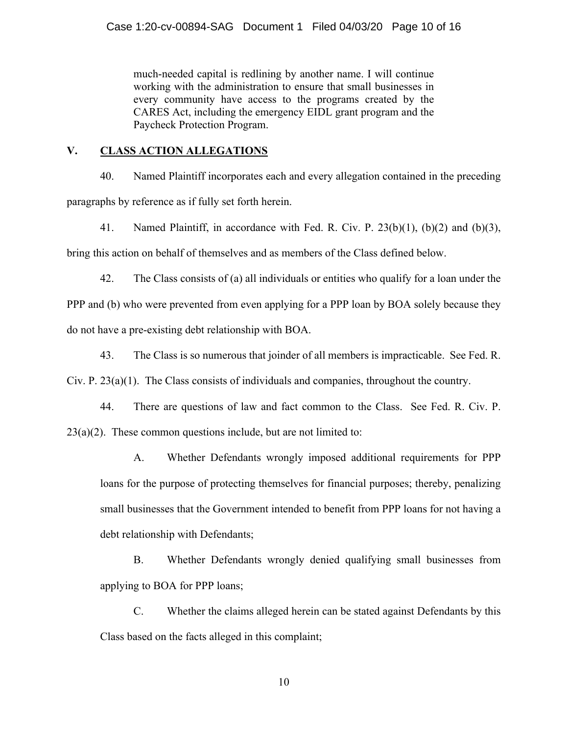much-needed capital is redlining by another name. I will continue working with the administration to ensure that small businesses in every community have access to the programs created by the CARES Act, including the emergency EIDL grant program and the Paycheck Protection Program.

# **V. CLASS ACTION ALLEGATIONS**

40. Named Plaintiff incorporates each and every allegation contained in the preceding paragraphs by reference as if fully set forth herein.

41. Named Plaintiff, in accordance with Fed. R. Civ. P. 23(b)(1), (b)(2) and (b)(3), bring this action on behalf of themselves and as members of the Class defined below.

42. The Class consists of (a) all individuals or entities who qualify for a loan under the

PPP and (b) who were prevented from even applying for a PPP loan by BOA solely because they do not have a pre-existing debt relationship with BOA.

43. The Class is so numerous that joinder of all members is impracticable. See Fed. R.

Civ. P. 23(a)(1). The Class consists of individuals and companies, throughout the country.

44. There are questions of law and fact common to the Class. See Fed. R. Civ. P.  $23(a)(2)$ . These common questions include, but are not limited to:

A. Whether Defendants wrongly imposed additional requirements for PPP loans for the purpose of protecting themselves for financial purposes; thereby, penalizing small businesses that the Government intended to benefit from PPP loans for not having a debt relationship with Defendants;

B. Whether Defendants wrongly denied qualifying small businesses from applying to BOA for PPP loans;

C. Whether the claims alleged herein can be stated against Defendants by this Class based on the facts alleged in this complaint;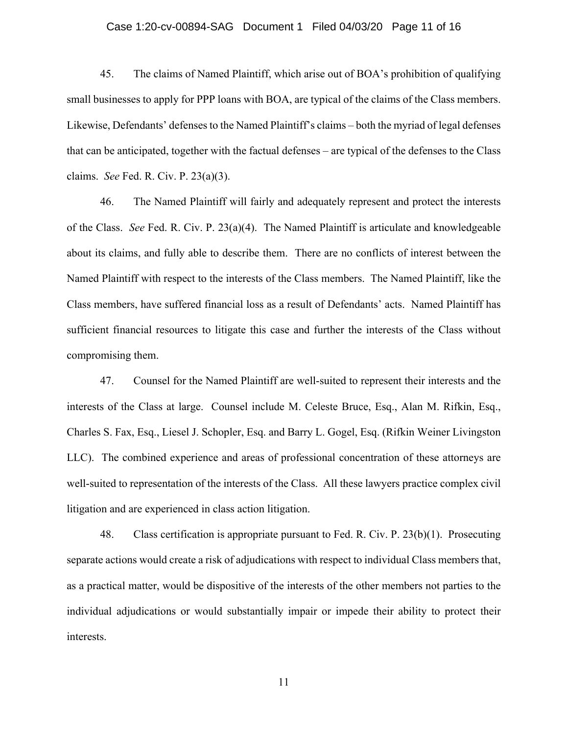#### Case 1:20-cv-00894-SAG Document 1 Filed 04/03/20 Page 11 of 16

45. The claims of Named Plaintiff, which arise out of BOA's prohibition of qualifying small businesses to apply for PPP loans with BOA, are typical of the claims of the Class members. Likewise, Defendants' defenses to the Named Plaintiff's claims – both the myriad of legal defenses that can be anticipated, together with the factual defenses – are typical of the defenses to the Class claims. *See* Fed. R. Civ. P. 23(a)(3).

46. The Named Plaintiff will fairly and adequately represent and protect the interests of the Class. *See* Fed. R. Civ. P. 23(a)(4). The Named Plaintiff is articulate and knowledgeable about its claims, and fully able to describe them. There are no conflicts of interest between the Named Plaintiff with respect to the interests of the Class members. The Named Plaintiff, like the Class members, have suffered financial loss as a result of Defendants' acts. Named Plaintiff has sufficient financial resources to litigate this case and further the interests of the Class without compromising them.

47. Counsel for the Named Plaintiff are well-suited to represent their interests and the interests of the Class at large. Counsel include M. Celeste Bruce, Esq., Alan M. Rifkin, Esq., Charles S. Fax, Esq., Liesel J. Schopler, Esq. and Barry L. Gogel, Esq. (Rifkin Weiner Livingston LLC). The combined experience and areas of professional concentration of these attorneys are well-suited to representation of the interests of the Class. All these lawyers practice complex civil litigation and are experienced in class action litigation.

48. Class certification is appropriate pursuant to Fed. R. Civ. P. 23(b)(1). Prosecuting separate actions would create a risk of adjudications with respect to individual Class members that, as a practical matter, would be dispositive of the interests of the other members not parties to the individual adjudications or would substantially impair or impede their ability to protect their interests.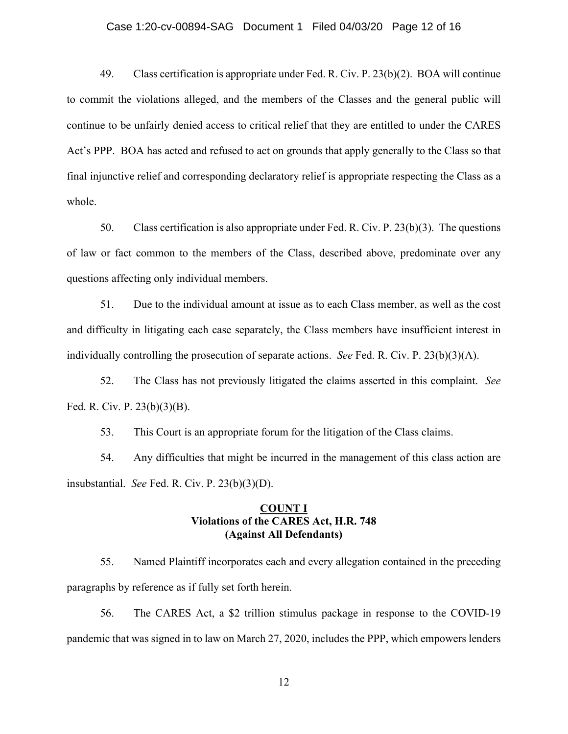#### Case 1:20-cv-00894-SAG Document 1 Filed 04/03/20 Page 12 of 16

49. Class certification is appropriate under Fed. R. Civ. P. 23(b)(2). BOA will continue to commit the violations alleged, and the members of the Classes and the general public will continue to be unfairly denied access to critical relief that they are entitled to under the CARES Act's PPP. BOA has acted and refused to act on grounds that apply generally to the Class so that final injunctive relief and corresponding declaratory relief is appropriate respecting the Class as a whole.

50. Class certification is also appropriate under Fed. R. Civ. P. 23(b)(3). The questions of law or fact common to the members of the Class, described above, predominate over any questions affecting only individual members.

51. Due to the individual amount at issue as to each Class member, as well as the cost and difficulty in litigating each case separately, the Class members have insufficient interest in individually controlling the prosecution of separate actions. *See* Fed. R. Civ. P. 23(b)(3)(A).

52. The Class has not previously litigated the claims asserted in this complaint. *See*  Fed. R. Civ. P. 23(b)(3)(B).

53. This Court is an appropriate forum for the litigation of the Class claims.

54. Any difficulties that might be incurred in the management of this class action are insubstantial. *See* Fed. R. Civ. P. 23(b)(3)(D).

## **COUNT I Violations of the CARES Act, H.R. 748 (Against All Defendants)**

55. Named Plaintiff incorporates each and every allegation contained in the preceding paragraphs by reference as if fully set forth herein.

56. The CARES Act, a \$2 trillion stimulus package in response to the COVID-19 pandemic that was signed in to law on March 27, 2020, includes the PPP, which empowers lenders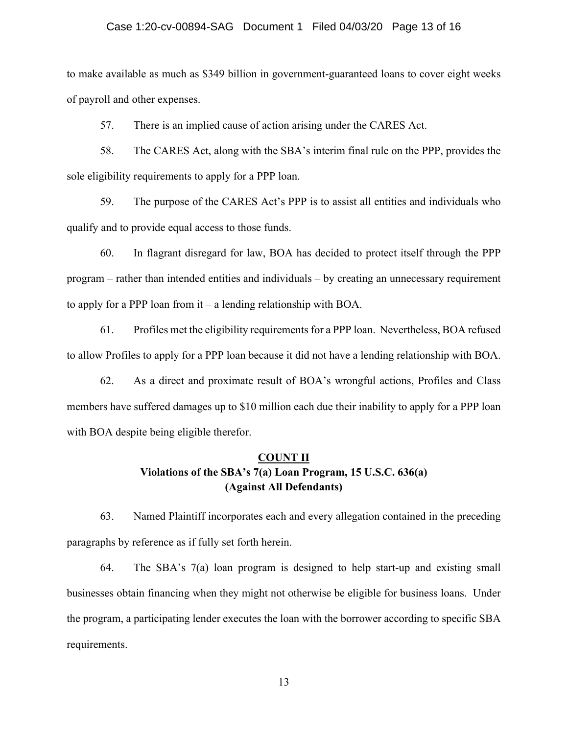#### Case 1:20-cv-00894-SAG Document 1 Filed 04/03/20 Page 13 of 16

to make available as much as \$349 billion in government-guaranteed loans to cover eight weeks of payroll and other expenses.

57. There is an implied cause of action arising under the CARES Act.

58. The CARES Act, along with the SBA's interim final rule on the PPP, provides the sole eligibility requirements to apply for a PPP loan.

59. The purpose of the CARES Act's PPP is to assist all entities and individuals who qualify and to provide equal access to those funds.

60. In flagrant disregard for law, BOA has decided to protect itself through the PPP program – rather than intended entities and individuals – by creating an unnecessary requirement to apply for a PPP loan from it – a lending relationship with BOA.

61. Profiles met the eligibility requirements for a PPP loan. Nevertheless, BOA refused to allow Profiles to apply for a PPP loan because it did not have a lending relationship with BOA.

62. As a direct and proximate result of BOA's wrongful actions, Profiles and Class members have suffered damages up to \$10 million each due their inability to apply for a PPP loan with BOA despite being eligible therefor.

# **COUNT II Violations of the SBA's 7(a) Loan Program, 15 U.S.C. 636(a) (Against All Defendants)**

63. Named Plaintiff incorporates each and every allegation contained in the preceding paragraphs by reference as if fully set forth herein.

64. The SBA's 7(a) loan program is designed to help start-up and existing small businesses obtain financing when they might not otherwise be eligible for business loans. Under the program, a participating lender executes the loan with the borrower according to specific SBA requirements.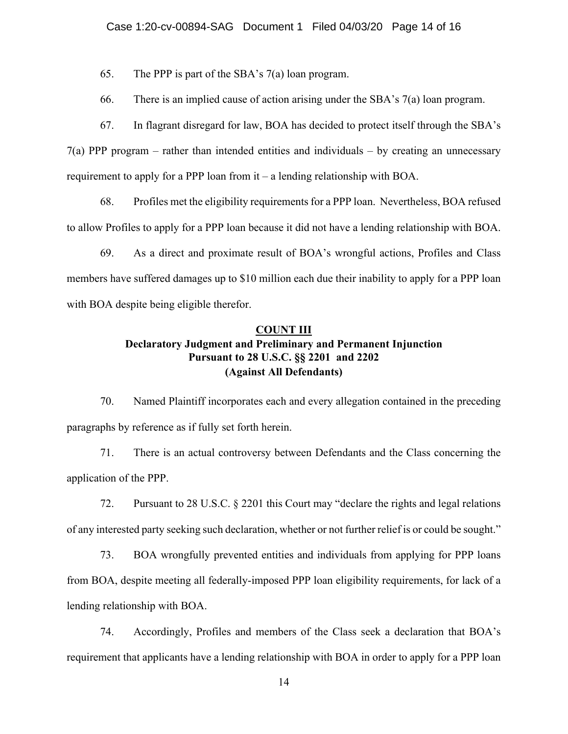65. The PPP is part of the SBA's 7(a) loan program.

66. There is an implied cause of action arising under the SBA's 7(a) loan program.

67. In flagrant disregard for law, BOA has decided to protect itself through the SBA's

7(a) PPP program – rather than intended entities and individuals – by creating an unnecessary requirement to apply for a PPP loan from it – a lending relationship with BOA.

68. Profiles met the eligibility requirements for a PPP loan. Nevertheless, BOA refused to allow Profiles to apply for a PPP loan because it did not have a lending relationship with BOA.

69. As a direct and proximate result of BOA's wrongful actions, Profiles and Class members have suffered damages up to \$10 million each due their inability to apply for a PPP loan with BOA despite being eligible therefor.

## **COUNT III Declaratory Judgment and Preliminary and Permanent Injunction Pursuant to 28 U.S.C. §§ 2201 and 2202**

## **(Against All Defendants)**

70. Named Plaintiff incorporates each and every allegation contained in the preceding paragraphs by reference as if fully set forth herein.

71. There is an actual controversy between Defendants and the Class concerning the application of the PPP.

72. Pursuant to 28 U.S.C. § 2201 this Court may "declare the rights and legal relations of any interested party seeking such declaration, whether or not further relief is or could be sought."

73. BOA wrongfully prevented entities and individuals from applying for PPP loans from BOA, despite meeting all federally-imposed PPP loan eligibility requirements, for lack of a lending relationship with BOA.

74. Accordingly, Profiles and members of the Class seek a declaration that BOA's requirement that applicants have a lending relationship with BOA in order to apply for a PPP loan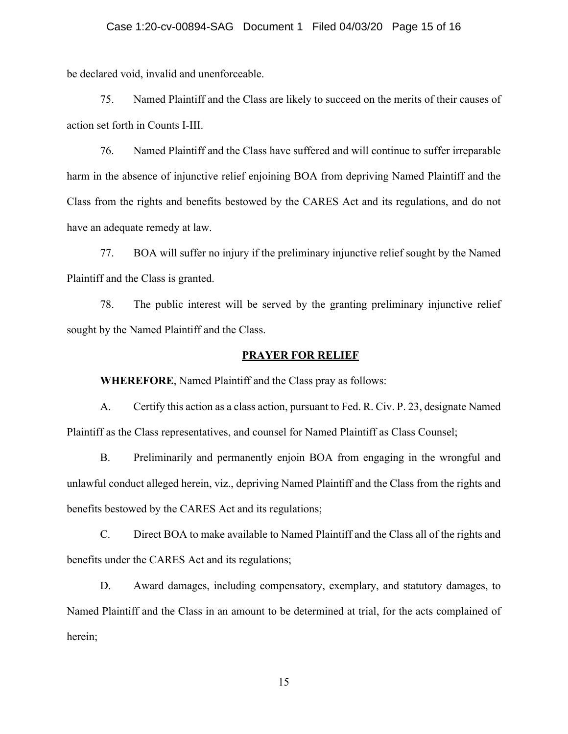be declared void, invalid and unenforceable.

75. Named Plaintiff and the Class are likely to succeed on the merits of their causes of action set forth in Counts I-III.

76. Named Plaintiff and the Class have suffered and will continue to suffer irreparable harm in the absence of injunctive relief enjoining BOA from depriving Named Plaintiff and the Class from the rights and benefits bestowed by the CARES Act and its regulations, and do not have an adequate remedy at law.

77. BOA will suffer no injury if the preliminary injunctive relief sought by the Named Plaintiff and the Class is granted.

78. The public interest will be served by the granting preliminary injunctive relief sought by the Named Plaintiff and the Class.

#### **PRAYER FOR RELIEF**

**WHEREFORE**, Named Plaintiff and the Class pray as follows:

A. Certify this action as a class action, pursuant to Fed. R. Civ. P. 23, designate Named Plaintiff as the Class representatives, and counsel for Named Plaintiff as Class Counsel;

B. Preliminarily and permanently enjoin BOA from engaging in the wrongful and unlawful conduct alleged herein, viz., depriving Named Plaintiff and the Class from the rights and benefits bestowed by the CARES Act and its regulations;

C. Direct BOA to make available to Named Plaintiff and the Class all of the rights and benefits under the CARES Act and its regulations;

D. Award damages, including compensatory, exemplary, and statutory damages, to Named Plaintiff and the Class in an amount to be determined at trial, for the acts complained of herein;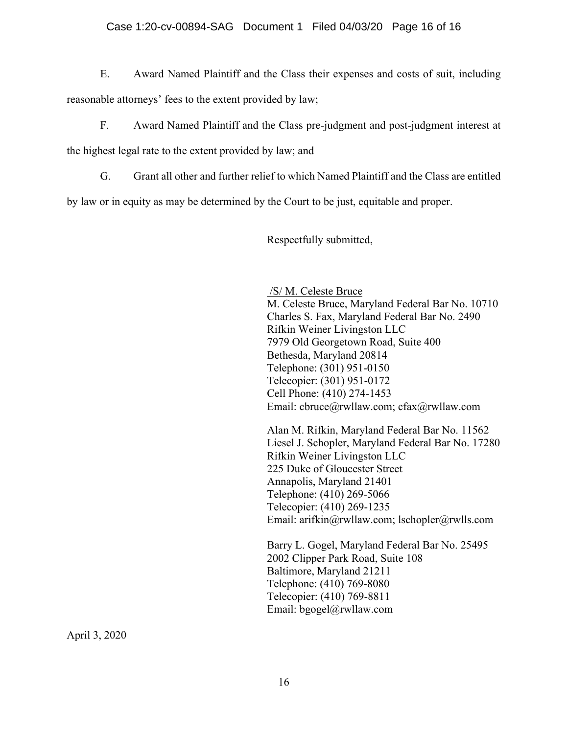## Case 1:20-cv-00894-SAG Document 1 Filed 04/03/20 Page 16 of 16

E. Award Named Plaintiff and the Class their expenses and costs of suit, including reasonable attorneys' fees to the extent provided by law;

F. Award Named Plaintiff and the Class pre-judgment and post-judgment interest at

the highest legal rate to the extent provided by law; and

G. Grant all other and further relief to which Named Plaintiff and the Class are entitled

by law or in equity as may be determined by the Court to be just, equitable and proper.

Respectfully submitted,

/S/ M. Celeste Bruce M. Celeste Bruce, Maryland Federal Bar No. 10710 Charles S. Fax, Maryland Federal Bar No. 2490 Rifkin Weiner Livingston LLC 7979 Old Georgetown Road, Suite 400 Bethesda, Maryland 20814 Telephone: (301) 951-0150 Telecopier: (301) 951-0172 Cell Phone: (410) 274-1453 Email: cbruce@rwllaw.com; cfax@rwllaw.com

Alan M. Rifkin, Maryland Federal Bar No. 11562 Liesel J. Schopler, Maryland Federal Bar No. 17280 Rifkin Weiner Livingston LLC 225 Duke of Gloucester Street Annapolis, Maryland 21401 Telephone: (410) 269-5066 Telecopier: (410) 269-1235 Email: arifkin@rwllaw.com; lschopler@rwlls.com

Barry L. Gogel, Maryland Federal Bar No. 25495 2002 Clipper Park Road, Suite 108 Baltimore, Maryland 21211 Telephone: (410) 769-8080 Telecopier: (410) 769-8811 Email: bgogel@rwllaw.com

April 3, 2020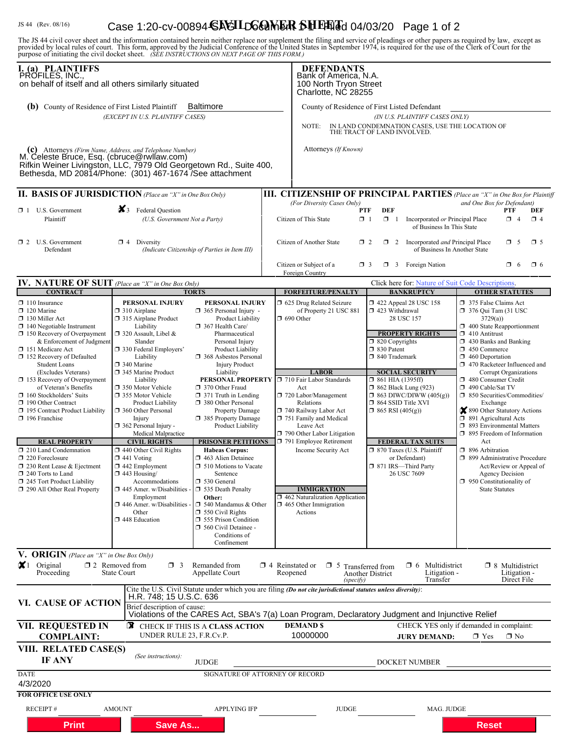# JS 44 (Rev. 08/16) **Case 1:20-cv-00894 SAGILDG@MER SHEETGE**d 04/03/20 Page 1 of 2

The JS 44 civil cover sheet and the information contained herein neither replace nor supplement the filing and service of pleadings or other papers as required by law, except as provided by local rules of court. This form,

| <b>PROFILES, INC.IFFS</b><br>on behalf of itself and all others similarly situated                                                                                                                                                                                                                                                                                                                                                                                                                                                                                                                                                                    |                                                                                                                                                                                                                                                                                                                                                                                                                                                                                                                                                                                                                                                   |                                                                                                                                                                                                                                                                                                                                                                                                                                                                                                                                                                                                                                                                                                      |                                                                                                                                                                                                                                                                                                                                                                                                                                                       | BANK OF AMERICA, N.A.<br>100 North Tryon Street<br>Charlotte, NC 28255                                                                                                                                                                                                                                                                                                                                                                          |                                                                                                                                                                                                                                                                                                                                                                                                                                                                                                                                                                                                                                                                          |  |  |  |  |  |  |  |
|-------------------------------------------------------------------------------------------------------------------------------------------------------------------------------------------------------------------------------------------------------------------------------------------------------------------------------------------------------------------------------------------------------------------------------------------------------------------------------------------------------------------------------------------------------------------------------------------------------------------------------------------------------|---------------------------------------------------------------------------------------------------------------------------------------------------------------------------------------------------------------------------------------------------------------------------------------------------------------------------------------------------------------------------------------------------------------------------------------------------------------------------------------------------------------------------------------------------------------------------------------------------------------------------------------------------|------------------------------------------------------------------------------------------------------------------------------------------------------------------------------------------------------------------------------------------------------------------------------------------------------------------------------------------------------------------------------------------------------------------------------------------------------------------------------------------------------------------------------------------------------------------------------------------------------------------------------------------------------------------------------------------------------|-------------------------------------------------------------------------------------------------------------------------------------------------------------------------------------------------------------------------------------------------------------------------------------------------------------------------------------------------------------------------------------------------------------------------------------------------------|-------------------------------------------------------------------------------------------------------------------------------------------------------------------------------------------------------------------------------------------------------------------------------------------------------------------------------------------------------------------------------------------------------------------------------------------------|--------------------------------------------------------------------------------------------------------------------------------------------------------------------------------------------------------------------------------------------------------------------------------------------------------------------------------------------------------------------------------------------------------------------------------------------------------------------------------------------------------------------------------------------------------------------------------------------------------------------------------------------------------------------------|--|--|--|--|--|--|--|
| (b) County of Residence of First Listed Plaintiff                                                                                                                                                                                                                                                                                                                                                                                                                                                                                                                                                                                                     | (EXCEPT IN U.S. PLAINTIFF CASES)                                                                                                                                                                                                                                                                                                                                                                                                                                                                                                                                                                                                                  | <b>Baltimore</b>                                                                                                                                                                                                                                                                                                                                                                                                                                                                                                                                                                                                                                                                                     | County of Residence of First Listed Defendant<br>(IN U.S. PLAINTIFF CASES ONLY)<br>IN LAND CONDEMNATION CASES, USE THE LOCATION OF<br>NOTE:<br>THE TRACT OF LAND INVOLVED.                                                                                                                                                                                                                                                                            |                                                                                                                                                                                                                                                                                                                                                                                                                                                 |                                                                                                                                                                                                                                                                                                                                                                                                                                                                                                                                                                                                                                                                          |  |  |  |  |  |  |  |
| M. Celeste Bruce, Esq. (coruce @ wilaw.com)<br>Rifkin Weiner Livingston, LLC, 7979 Old Georgetown Rd., Suite 400,<br>Bethesda, MD 20814/Phone: (301) 467-1674 /See attachment                                                                                                                                                                                                                                                                                                                                                                                                                                                                         |                                                                                                                                                                                                                                                                                                                                                                                                                                                                                                                                                                                                                                                   |                                                                                                                                                                                                                                                                                                                                                                                                                                                                                                                                                                                                                                                                                                      | Attorneys (If Known)                                                                                                                                                                                                                                                                                                                                                                                                                                  |                                                                                                                                                                                                                                                                                                                                                                                                                                                 |                                                                                                                                                                                                                                                                                                                                                                                                                                                                                                                                                                                                                                                                          |  |  |  |  |  |  |  |
| II. BASIS OF JURISDICTION (Place an "X" in One Box Only)                                                                                                                                                                                                                                                                                                                                                                                                                                                                                                                                                                                              |                                                                                                                                                                                                                                                                                                                                                                                                                                                                                                                                                                                                                                                   |                                                                                                                                                                                                                                                                                                                                                                                                                                                                                                                                                                                                                                                                                                      | <b>III. CITIZENSHIP OF PRINCIPAL PARTIES</b> (Place an "X" in One Box for Plaintiff                                                                                                                                                                                                                                                                                                                                                                   |                                                                                                                                                                                                                                                                                                                                                                                                                                                 |                                                                                                                                                                                                                                                                                                                                                                                                                                                                                                                                                                                                                                                                          |  |  |  |  |  |  |  |
| $\Box$ 1 U.S. Government<br>Plaintiff                                                                                                                                                                                                                                                                                                                                                                                                                                                                                                                                                                                                                 | $\mathbf{X}_3$ Federal Question<br>(U.S. Government Not a Party)                                                                                                                                                                                                                                                                                                                                                                                                                                                                                                                                                                                  |                                                                                                                                                                                                                                                                                                                                                                                                                                                                                                                                                                                                                                                                                                      | (For Diversity Cases Only)<br>PTF<br>Citizen of This State<br>$\Box$ 1                                                                                                                                                                                                                                                                                                                                                                                | and One Box for Defendant)<br>PTF<br>DEF<br>$\Box$ 4<br>Incorporated or Principal Place<br>$\Box$ 4<br>of Business In This State                                                                                                                                                                                                                                                                                                                |                                                                                                                                                                                                                                                                                                                                                                                                                                                                                                                                                                                                                                                                          |  |  |  |  |  |  |  |
| $\Box$ 2 U.S. Government<br>Defendant                                                                                                                                                                                                                                                                                                                                                                                                                                                                                                                                                                                                                 | $\Box$ 4 Diversity                                                                                                                                                                                                                                                                                                                                                                                                                                                                                                                                                                                                                                | (Indicate Citizenship of Parties in Item III)                                                                                                                                                                                                                                                                                                                                                                                                                                                                                                                                                                                                                                                        | Citizen of Another State                                                                                                                                                                                                                                                                                                                                                                                                                              | $\Box$ 2 Incorporated <i>and</i> Principal Place<br>$\Box$ 2<br>of Business In Another State                                                                                                                                                                                                                                                                                                                                                    | $\square$ 5<br>$\Box$ 5                                                                                                                                                                                                                                                                                                                                                                                                                                                                                                                                                                                                                                                  |  |  |  |  |  |  |  |
|                                                                                                                                                                                                                                                                                                                                                                                                                                                                                                                                                                                                                                                       |                                                                                                                                                                                                                                                                                                                                                                                                                                                                                                                                                                                                                                                   |                                                                                                                                                                                                                                                                                                                                                                                                                                                                                                                                                                                                                                                                                                      | Citizen or Subject of a<br>Foreign Country                                                                                                                                                                                                                                                                                                                                                                                                            | $\Box$ 3 Foreign Nation<br>$\Box$ 3                                                                                                                                                                                                                                                                                                                                                                                                             | $\Box$ 6<br>$\Box$ 6                                                                                                                                                                                                                                                                                                                                                                                                                                                                                                                                                                                                                                                     |  |  |  |  |  |  |  |
| IV. NATURE OF SUIT (Place an "X" in One Box Only)<br><b>CONTRACT</b>                                                                                                                                                                                                                                                                                                                                                                                                                                                                                                                                                                                  |                                                                                                                                                                                                                                                                                                                                                                                                                                                                                                                                                                                                                                                   | <b>TORTS</b>                                                                                                                                                                                                                                                                                                                                                                                                                                                                                                                                                                                                                                                                                         | <b>FORFEITURE/PENALTY</b>                                                                                                                                                                                                                                                                                                                                                                                                                             | Click here for. Nature of Suit Code Descriptions.<br><b>BANKRUPTCY</b>                                                                                                                                                                                                                                                                                                                                                                          | <b>OTHER STATUTES</b>                                                                                                                                                                                                                                                                                                                                                                                                                                                                                                                                                                                                                                                    |  |  |  |  |  |  |  |
| $\Box$ 110 Insurance<br>$\Box$ 120 Marine<br>$\Box$ 130 Miller Act<br>$\Box$ 140 Negotiable Instrument<br>$\Box$ 150 Recovery of Overpayment<br>& Enforcement of Judgment<br>151 Medicare Act<br>152 Recovery of Defaulted<br><b>Student Loans</b><br>(Excludes Veterans)<br>$\Box$ 153 Recovery of Overpayment<br>of Veteran's Benefits<br>$\Box$ 160 Stockholders' Suits<br>190 Other Contract<br>195 Contract Product Liability<br>$\Box$ 196 Franchise<br><b>REAL PROPERTY</b><br>210 Land Condemnation<br>220 Foreclosure<br>$\Box$ 230 Rent Lease & Ejectment<br>240 Torts to Land<br>245 Tort Product Liability<br>290 All Other Real Property | PERSONAL INJURY<br>$\Box$ 310 Airplane<br>□ 315 Airplane Product<br>Liability<br>$\Box$ 320 Assault, Libel &<br>Slander<br>□ 330 Federal Employers'<br>Liability<br>340 Marine<br>345 Marine Product<br>Liability<br>□ 350 Motor Vehicle<br>□ 355 Motor Vehicle<br><b>Product Liability</b><br>360 Other Personal<br>Injury<br>$\Box$ 362 Personal Injury -<br>Medical Malpractice<br><b>CIVIL RIGHTS</b><br>$\Box$ 440 Other Civil Rights<br>$\Box$ 441 Voting<br>$\Box$ 442 Employment<br>$\Box$ 443 Housing/<br>Accommodations<br>$\Box$ 445 Amer. w/Disabilities -<br>Employment<br>$\Box$ 446 Amer. w/Disabilities<br>Other<br>448 Education | PERSONAL INJURY<br>$\Box$ 365 Personal Injury -<br><b>Product Liability</b><br>$\Box$ 367 Health Care/<br>Pharmaceutical<br>Personal Injury<br>Product Liability<br>368 Asbestos Personal<br><b>Injury Product</b><br>Liability<br>370 Other Fraud<br>$\Box$ 371 Truth in Lending<br>380 Other Personal<br><b>Property Damage</b><br>385 Property Damage<br>Product Liability<br><b>PRISONER PETITIONS</b><br><b>Habeas Corpus:</b><br>$\Box$ 463 Alien Detainee<br>$\Box$ 510 Motions to Vacate<br>Sentence<br>530 General<br>535 Death Penalty<br>Other:<br>$\Box$ 540 Mandamus & Other<br>$\Box$ 550 Civil Rights<br>555 Prison Condition<br>560 Civil Detainee -<br>Conditions of<br>Confinement | 1 625 Drug Related Seizure<br>of Property 21 USC 881<br>$\Box$ 690 Other<br><b>LABOR</b><br>PERSONAL PROPERTY □ 710 Fair Labor Standards<br>Act<br>720 Labor/Management<br>Relations<br>740 Railway Labor Act<br>751 Family and Medical<br>Leave Act<br>$\Box$ 790 Other Labor Litigation<br>791 Employee Retirement<br>Income Security Act<br><b>IMMIGRATION</b><br>$\Box$ 462 Naturalization Application<br>$\Box$ 465 Other Immigration<br>Actions | 158 152 422 Appeal 28 USC<br>1 423 Withdrawal<br>28 USC 157<br><b>PROPERTY RIGHTS</b><br>$\Box$ 820 Copyrights<br>□ 830 Patent<br>□ 840 Trademark<br><b>SOCIAL SECURITY</b><br>$\Box$ 861 HIA (1395ff)<br><b>1 862 Black Lung (923)</b><br>$\Box$ 863 DIWC/DIWW (405(g))<br>□ 864 SSID Title XVI<br>$\Box$ 865 RSI (405(g))<br><b>FEDERAL TAX SUITS</b><br>□ 870 Taxes (U.S. Plaintiff<br>or Defendant)<br>□ 871 IRS-Third Party<br>26 USC 7609 | 375 False Claims Act<br>$\Box$ 376 Qui Tam (31 USC<br>3729(a)<br>$\Box$ 400 State Reapportionment<br>$\Box$ 410 Antitrust<br>$\Box$ 430 Banks and Banking<br>$\Box$ 450 Commerce<br>$\Box$ 460 Deportation<br>1 470 Racketeer Influenced and<br>Corrupt Organizations<br>480 Consumer Credit<br>490 Cable/Sat TV<br>$\Box$ 850 Securities/Commodities/<br>Exchange<br>890 Other Statutory Actions<br>□ 891 Agricultural Acts<br>□ 893 Environmental Matters<br>$\Box$ 895 Freedom of Information<br>Act<br>□ 896 Arbitration<br>□ 899 Administrative Procedure<br>Act/Review or Appeal of<br>Agency Decision<br>$\Box$ 950 Constitutionality of<br><b>State Statutes</b> |  |  |  |  |  |  |  |
| <b>V. ORIGIN</b> (Place an "X" in One Box Only)<br>$\mathbf{X}$ 1<br>Original<br>Proceeding                                                                                                                                                                                                                                                                                                                                                                                                                                                                                                                                                           | $\square$ 2 Removed from<br>$\Box$ 3<br><b>State Court</b>                                                                                                                                                                                                                                                                                                                                                                                                                                                                                                                                                                                        | Remanded from<br>Appellate Court                                                                                                                                                                                                                                                                                                                                                                                                                                                                                                                                                                                                                                                                     | $\Box$ 4 Reinstated or<br>$\Box$ 5 Transferred from<br>Reopened<br>(specify)                                                                                                                                                                                                                                                                                                                                                                          | $\Box$ 6 Multidistrict<br>Litigation -<br>Another District<br>Transfer                                                                                                                                                                                                                                                                                                                                                                          | $\Box$ 8 Multidistrict<br>Litigation -<br>Direct File                                                                                                                                                                                                                                                                                                                                                                                                                                                                                                                                                                                                                    |  |  |  |  |  |  |  |
| VI. CAUSE OF ACTION                                                                                                                                                                                                                                                                                                                                                                                                                                                                                                                                                                                                                                   | H.R. 748; 15 U.S.C. 636<br>Brief description of cause:                                                                                                                                                                                                                                                                                                                                                                                                                                                                                                                                                                                            |                                                                                                                                                                                                                                                                                                                                                                                                                                                                                                                                                                                                                                                                                                      | Cite the U.S. Civil Statute under which you are filing (Do not cite jurisdictional statutes unless diversity):                                                                                                                                                                                                                                                                                                                                        |                                                                                                                                                                                                                                                                                                                                                                                                                                                 |                                                                                                                                                                                                                                                                                                                                                                                                                                                                                                                                                                                                                                                                          |  |  |  |  |  |  |  |
|                                                                                                                                                                                                                                                                                                                                                                                                                                                                                                                                                                                                                                                       |                                                                                                                                                                                                                                                                                                                                                                                                                                                                                                                                                                                                                                                   |                                                                                                                                                                                                                                                                                                                                                                                                                                                                                                                                                                                                                                                                                                      | Violations of the CARES Act, SBA's 7(a) Loan Program, Declaratory Judgment and Injunctive Relief                                                                                                                                                                                                                                                                                                                                                      |                                                                                                                                                                                                                                                                                                                                                                                                                                                 |                                                                                                                                                                                                                                                                                                                                                                                                                                                                                                                                                                                                                                                                          |  |  |  |  |  |  |  |
| VII. REQUESTED IN<br><b>X</b> CHECK IF THIS IS A CLASS ACTION<br><b>DEMAND \$</b><br>CHECK YES only if demanded in complaint:<br>10000000<br><b>COMPLAINT:</b><br>UNDER RULE 23, F.R.Cv.P.<br>$\Box$ Yes<br><b>JURY DEMAND:</b>                                                                                                                                                                                                                                                                                                                                                                                                                       |                                                                                                                                                                                                                                                                                                                                                                                                                                                                                                                                                                                                                                                   |                                                                                                                                                                                                                                                                                                                                                                                                                                                                                                                                                                                                                                                                                                      |                                                                                                                                                                                                                                                                                                                                                                                                                                                       |                                                                                                                                                                                                                                                                                                                                                                                                                                                 | $\Box$ No                                                                                                                                                                                                                                                                                                                                                                                                                                                                                                                                                                                                                                                                |  |  |  |  |  |  |  |
| VIII. RELATED CASE(S)<br>IF ANY                                                                                                                                                                                                                                                                                                                                                                                                                                                                                                                                                                                                                       | (See instructions):                                                                                                                                                                                                                                                                                                                                                                                                                                                                                                                                                                                                                               | <b>JUDGE</b>                                                                                                                                                                                                                                                                                                                                                                                                                                                                                                                                                                                                                                                                                         |                                                                                                                                                                                                                                                                                                                                                                                                                                                       | DOCKET NUMBER                                                                                                                                                                                                                                                                                                                                                                                                                                   |                                                                                                                                                                                                                                                                                                                                                                                                                                                                                                                                                                                                                                                                          |  |  |  |  |  |  |  |
| <b>DATE</b><br>4/3/2020                                                                                                                                                                                                                                                                                                                                                                                                                                                                                                                                                                                                                               |                                                                                                                                                                                                                                                                                                                                                                                                                                                                                                                                                                                                                                                   |                                                                                                                                                                                                                                                                                                                                                                                                                                                                                                                                                                                                                                                                                                      | SIGNATURE OF ATTORNEY OF RECORD                                                                                                                                                                                                                                                                                                                                                                                                                       |                                                                                                                                                                                                                                                                                                                                                                                                                                                 |                                                                                                                                                                                                                                                                                                                                                                                                                                                                                                                                                                                                                                                                          |  |  |  |  |  |  |  |
| <b>FOR OFFICE USE ONLY</b><br><b>RECEIPT#</b>                                                                                                                                                                                                                                                                                                                                                                                                                                                                                                                                                                                                         | <b>AMOUNT</b>                                                                                                                                                                                                                                                                                                                                                                                                                                                                                                                                                                                                                                     | <b>APPLYING IFP</b>                                                                                                                                                                                                                                                                                                                                                                                                                                                                                                                                                                                                                                                                                  | <b>JUDGE</b>                                                                                                                                                                                                                                                                                                                                                                                                                                          | MAG. JUDGE                                                                                                                                                                                                                                                                                                                                                                                                                                      |                                                                                                                                                                                                                                                                                                                                                                                                                                                                                                                                                                                                                                                                          |  |  |  |  |  |  |  |
| Print                                                                                                                                                                                                                                                                                                                                                                                                                                                                                                                                                                                                                                                 | Save As                                                                                                                                                                                                                                                                                                                                                                                                                                                                                                                                                                                                                                           |                                                                                                                                                                                                                                                                                                                                                                                                                                                                                                                                                                                                                                                                                                      |                                                                                                                                                                                                                                                                                                                                                                                                                                                       |                                                                                                                                                                                                                                                                                                                                                                                                                                                 | <b>Reset</b>                                                                                                                                                                                                                                                                                                                                                                                                                                                                                                                                                                                                                                                             |  |  |  |  |  |  |  |